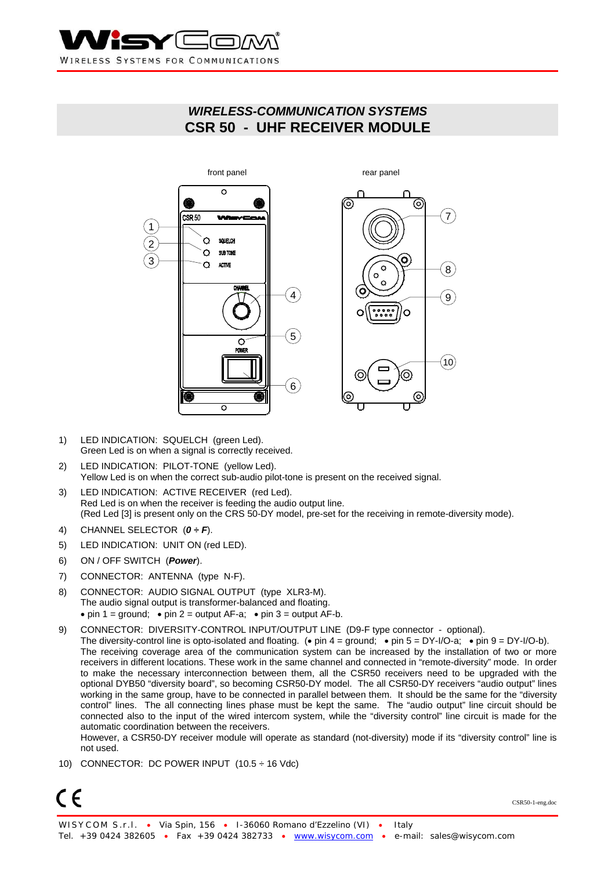

# *WIRELESS-COMMUNICATION SYSTEMS*  **CSR 50 - UHF RECEIVER MODULE**



- 1) LED INDICATION: SQUELCH (green Led). Green Led is on when a signal is correctly received.
- 2) LED INDICATION: PILOT-TONE (yellow Led). Yellow Led is on when the correct sub-audio pilot-tone is present on the received signal.
- 3) LED INDICATION: ACTIVE RECEIVER (red Led). Red Led is on when the receiver is feeding the audio output line. (Red Led [3] is present only on the CRS 50-DY model, pre-set for the receiving in remote-diversity mode).
- 4) CHANNEL SELECTOR (*0 ÷ F*).
- 5) LED INDICATION: UNIT ON (red LED).
- 6) ON / OFF SWITCH (*Power*).
- 7) CONNECTOR: ANTENNA (type N-F).
- 8) CONNECTOR: AUDIO SIGNAL OUTPUT (type XLR3-M). The audio signal output is transformer-balanced and floating. • pin 1 = ground; • pin 2 = output AF-a; • pin 3 = output AF-b.
- 9) CONNECTOR: DIVERSITY-CONTROL INPUT/OUTPUT LINE (D9-F type connector optional).
- The diversity-control line is opto-isolated and floating. (• pin 4 = ground; pin 5 = DY-I/O-a; pin 9 = DY-I/O-b). The receiving coverage area of the communication system can be increased by the installation of two or more receivers in different locations. These work in the same channel and connected in "remote-diversity" mode. In order to make the necessary interconnection between them, all the CSR50 receivers need to be upgraded with the optional DYB50 "diversity board", so becoming CSR50-DY model. The all CSR50-DY receivers "audio output" lines working in the same group, have to be connected in parallel between them. It should be the same for the "diversity control" lines. The all connecting lines phase must be kept the same. The "audio output" line circuit should be connected also to the input of the wired intercom system, while the "diversity control" line circuit is made for the automatic coordination between the receivers.

However, a CSR50-DY receiver module will operate as standard (not-diversity) mode if its "diversity control" line is not used.

10) CONNECTOR: DC POWER INPUT (10.5 ÷ 16 Vdc)



CSR50-1-eng.doc